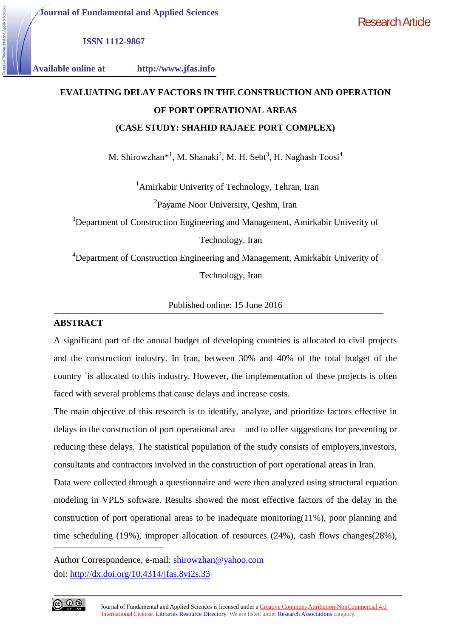**ISSN 1112-9867**

**Available online at http://www.jfas.info**

# **EVALUATING DELAY FACTORS IN THE CONSTRUCTION AND OPERATION OF PORT OPERATIONAL AREAS (CASE STUDY: SHAHID RAJAEE PORT COMPLEX) STUDY: SHAHID**

M. Shirowzhan\*<sup>1</sup>, M. Shanaki<sup>2</sup>, M. H. Sebt<sup>3</sup>, H. Naghash Toosi<sup>4</sup>

owzhan\*<sup>1</sup>, M. Shanaki<sup>2</sup>, M. H. Sebt<sup>3</sup>, H. Naghash Toosi<sup>4</sup><br><sup>1</sup>Amirkabir Univerity of Technology, Tehran, Iran <sup>2</sup>Payame Noor University, Qeshm, Iran

<sup>3</sup>Department of Construction Engineering and Management, Amirkabir Univerity of

Technology, Iran

<sup>4</sup>Department of Construction Engineering and Management, Amirkabir Univerity of Technology, Iran Technology,<br>neering and N<br>Technology,

Published online: 15 June 2016

## **ABSTRACT**

A significant part of the annual budget of developing countries is allocated to civil projects and the construction industry. In Iran, between 30% and 40% of the total budget of the country `is allocated to this industry. However, the implementation of these projects is often faced with several problems that cause delays and increase costs.

The main objective of this research is to identify, analyze, and prioritize factors effective in delays in the construction of port operational area and to offer suggestions for preventing or reducing these delays. The statistical population of the study consists of employers,investors, consultants and contractors involved in the construction of port operational areas in Iran.

Data were collected through a questionnaire and were then analyzed using structural equation modeling in VPLS software. Results showed the most effective factors of the delay in the construction of port operational areas to be inadequate monitoring(11%), poor planning and time scheduling (19%), improper allocation of resources (24%), cash flows changes(28%), **DELAY FACTORS IN THE CONSTRUCTION AND OPERATION**<br>
OF PORT OPERATIONAL AREAS<br>
SHESTIVE: SHAHID RAJAEE PORT COMPLEX)<br>
hitroxyhan<sup>41</sup>, M. Shanaki<sup>2</sup>, M. H. Sche<sup>2</sup>, H. Naghash Toos<sup>4</sup><br>
<sup>1</sup>Amirkahir Univerity of Technology, T ESSN 1112-9867<br> **EVALUATING DELAY FACTORS IN THE CONSTRUCTION AND OPERATION**<br> **OF PORT OPERATIONAL AREAS**<br>
(CASE STUDY: SHAHID RAJAEE PORT COMPLEX)<br>
M. Shirowzhan<sup>o1</sup>, M. Shamaki<sup>2</sup>, M. H. Shot<sup>2</sup>, H. Naghash Toosi<sup>4</sup><br>
<sup>1</sup> **EVALUATING DELAY FACTORS IN THE CONTRO TO THE CONTRO TRACTONS IN THE CONTRO TO FROM THE SAVE STUDY: SHAHID RAJAEE**<br>
M. Shirowzhan<sup>#1</sup>, M. Shanaki<sup>2</sup>, M. H. S<br>
<sup>1</sup>Amirkabir University of Technol<br>
<sup>2</sup>Payame Noor University,

Author Correspondence, e-mail: shirowzhan@yahoo.com doi: http://dx.doi.org/10.4314/jfas.8vi2s.33

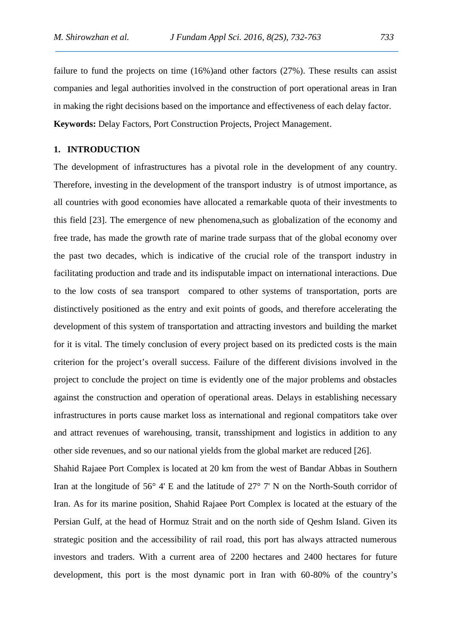failure to fund the projects on time (16%) and other factors (27%). These results can assist companies and legal authorities involved in the construction of port operational areas in Iran in making the right decisions based on the importance and effectiveness of each delay factor. **Keywords:** Delay Factors, Port Construction Projects, Project Management.

### **1. INTRODUCTION**

The development of infrastructures has a pivotal role in the development of any country. Therefore, investing in the development of the transport industry is of utmost importance, as all countries with good economies have allocated a remarkable quota of their investments to this field [23]. The emergence of new phenomena,such as globalization of the economy and free trade, has made the growth rate of marine trade surpass that of the global economy over the past two decades, which is indicative of the crucial role of the transport industry in facilitating production and trade and its indisputable impact on international interactions. Due to the low costs of sea transport compared to other systems of transportation, ports are distinctively positioned as the entry and exit points of goods, and therefore accelerating the development of this system of transportation and attracting investors and building the market for it is vital. The timely conclusion of every project based on its predicted costs is the main criterion for the project's overall success. Failure of the different divisions involved in the project to conclude the project on time is evidently one of the major problems and obstacles against the construction and operation of operational areas. Delays in establishing necessary infrastructures in ports cause market loss as international and regional compatitors take over and attract revenues of warehousing, transit, transshipment and logistics in addition to any other side revenues, and so our national yields from the global market are reduced [26].

Shahid Rajaee Port Complex is located at 20 km from the west of Bandar Abbas in Southern Iran at the longitude of 56° 4' E and the latitude of 27° 7' N on the North-South corridor of Iran. As for its marine position, Shahid Rajaee Port Complex is located at the estuary of the Persian Gulf, at the head of Hormuz Strait and on the north side of Qeshm Island. Given its strategic position and the accessibility of rail road, this port has always attracted numerous investors and traders. With a current area of 2200 hectares and 2400 hectares for future development, this port is the most dynamic port in Iran with 60-80% of the country's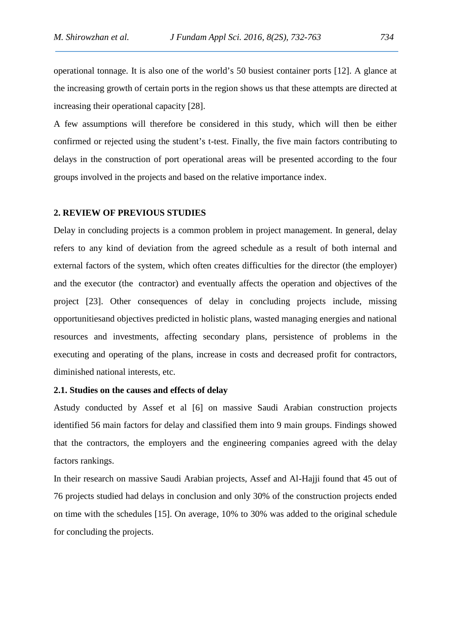operational tonnage. It is also one of the world's 50 busiest container ports [12]. A glance at the increasing growth of certain ports in the region shows us that these attempts are directed at increasing their operational capacity [28].

A few assumptions will therefore be considered in this study, which will then be either confirmed or rejected using the student's t-test. Finally, the five main factors contributing to delays in the construction of port operational areas will be presented according to the four groups involved in the projects and based on the relative importance index.

### **2. REVIEW OF PREVIOUS STUDIES**

Delay in concluding projects is a common problem in project management. In general, delay refers to any kind of deviation from the agreed schedule as a result of both internal and external factors of the system, which often creates difficulties for the director (the employer) and the executor (the contractor) and eventually affects the operation and objectives of the project [23]. Other consequences of delay in concluding projects include, missing opportunitiesand objectives predicted in holistic plans, wasted managing energies and national resources and investments, affecting secondary plans, persistence of problems in the executing and operating of the plans, increase in costs and decreased profit for contractors, diminished national interests, etc.

### **2.1. Studies on the causes and effects of delay**

Astudy conducted by Assef et al [6] on massive Saudi Arabian construction projects identified 56 main factors for delay and classified them into 9 main groups. Findings showed that the contractors, the employers and the engineering companies agreed with the delay factors rankings.

In their research on massive Saudi Arabian projects, Assef and Al-Hajji found that 45 out of 76 projects studied had delays in conclusion and only 30% of the construction projects ended on time with the schedules [15]. On average, 10% to 30% was added to the original schedule for concluding the projects.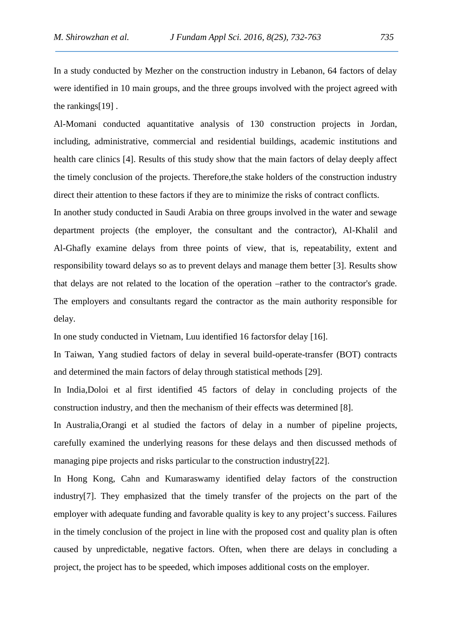In a study conducted by Mezher on the construction industry in Lebanon, 64 factors of delay were identified in 10 main groups, and the three groups involved with the project agreed with the rankings[19] .

Al-Momani conducted aquantitative analysis of 130 construction projects in Jordan, including, administrative, commercial and residential buildings, academic institutions and health care clinics [4]. Results of this study show that the main factors of delay deeply affect the timely conclusion of the projects. Therefore,the stake holders of the construction industry direct their attention to these factors if they are to minimize the risks of contract conflicts.

In another study conducted in Saudi Arabia on three groups involved in the water and sewage department projects (the employer, the consultant and the contractor), Al-Khalil and Al-Ghafly examine delays from three points of view, that is, repeatability, extent and responsibility toward delays so as to prevent delays and manage them better [3]. Results show that delays are not related to the location of the operation –rather to the contractor's grade. The employers and consultants regard the contractor as the main authority responsible for delay.

In one study conducted in Vietnam, Luu identified 16 factorsfor delay [16].

In Taiwan, Yang studied factors of delay in several build-operate-transfer (BOT) contracts and determined the main factors of delay through statistical methods [29].

In India,Doloi et al first identified 45 factors of delay in concluding projects of the construction industry, and then the mechanism of their effects was determined [8].

In Australia,Orangi et al studied the factors of delay in a number of pipeline projects, carefully examined the underlying reasons for these delays and then discussed methods of managing pipe projects and risks particular to the construction industry[22].

In Hong Kong, Cahn and Kumaraswamy identified delay factors of the construction industry[7]. They emphasized that the timely transfer of the projects on the part of the employer with adequate funding and favorable quality is key to any project's success. Failures in the timely conclusion of the project in line with the proposed cost and quality plan is often caused by unpredictable, negative factors. Often, when there are delays in concluding a project, the project has to be speeded, which imposes additional costs on the employer.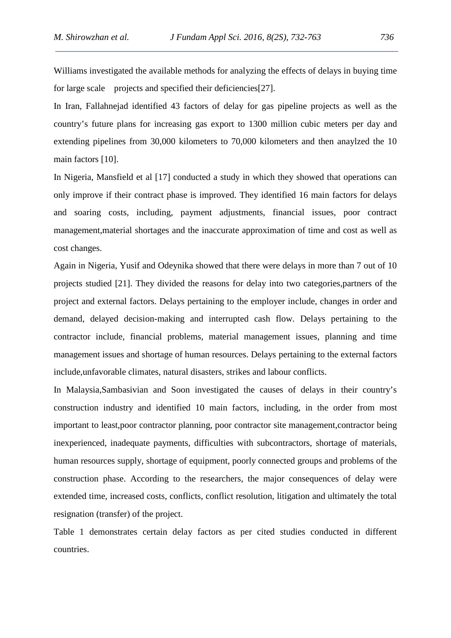Williams investigated the available methods for analyzing the effects of delays in buying time for large scale projects and specified their deficiencies [27].

In Iran, Fallahnejad identified 43 factors of delay for gas pipeline projects as well as the country's future plans for increasing gas export to 1300 million cubic meters per day and extending pipelines from 30,000 kilometers to 70,000 kilometers and then anaylzed the 10 main factors [10].

In Nigeria, Mansfield et al [17] conducted a study in which they showed that operations can only improve if their contract phase is improved. They identified 16 main factors for delays and soaring costs, including, payment adjustments, financial issues, poor contract management,material shortages and the inaccurate approximation of time and cost as well as cost changes.

Again in Nigeria, Yusif and Odeynika showed that there were delays in more than 7 out of 10 projects studied [21]. They divided the reasons for delay into two categories,partners of the project and external factors. Delays pertaining to the employer include, changes in order and demand, delayed decision-making and interrupted cash flow. Delays pertaining to the contractor include, financial problems, material management issues, planning and time management issues and shortage of human resources. Delays pertaining to the external factors include,unfavorable climates, natural disasters, strikes and labour conflicts.

In Malaysia,Sambasivian and Soon investigated the causes of delays in their country's construction industry and identified 10 main factors, including, in the order from most important to least,poor contractor planning, poor contractor site management,contractor being inexperienced, inadequate payments, difficulties with subcontractors, shortage of materials, human resources supply, shortage of equipment, poorly connected groups and problems of the construction phase. According to the researchers, the major consequences of delay were extended time, increased costs, conflicts, conflict resolution, litigation and ultimately the total resignation (transfer) of the project.

Table 1 demonstrates certain delay factors as per cited studies conducted in different countries.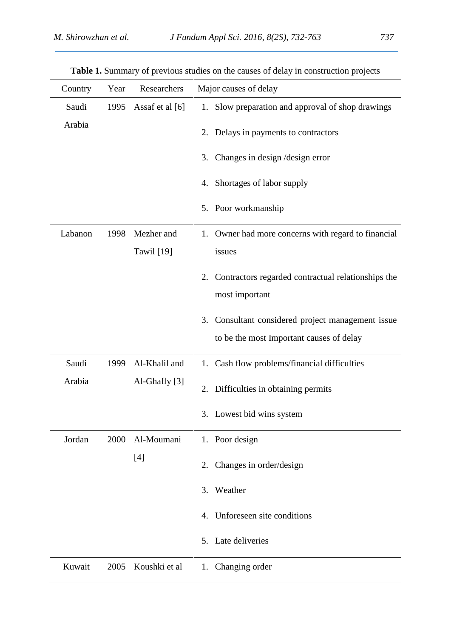| Country | Year | Researchers       | Major causes of delay                                    |
|---------|------|-------------------|----------------------------------------------------------|
| Saudi   | 1995 | Assaf et al [6]   | 1. Slow preparation and approval of shop drawings        |
| Arabia  |      |                   | Delays in payments to contractors<br>2.                  |
|         |      |                   | Changes in design / design error<br>3.                   |
|         |      |                   | 4. Shortages of labor supply                             |
|         |      |                   | 5. Poor workmanship                                      |
| Labanon | 1998 | Mezher and        | 1. Owner had more concerns with regard to financial      |
|         |      | <b>Tawil</b> [19] | issues                                                   |
|         |      |                   | Contractors regarded contractual relationships the<br>2. |
|         |      |                   | most important                                           |
|         |      |                   | 3. Consultant considered project management issue        |
|         |      |                   | to be the most Important causes of delay                 |
| Saudi   | 1999 | Al-Khalil and     | 1. Cash flow problems/financial difficulties             |
| Arabia  |      | Al-Ghafly [3]     | 2. Difficulties in obtaining permits                     |
|         |      |                   | 3. Lowest bid wins system                                |
| Jordan  | 2000 | Al-Moumani        | 1. Poor design                                           |
|         |      | $[4]$             | Changes in order/design<br>2.                            |
|         |      |                   | Weather<br>3.                                            |
|         |      |                   | Unforeseen site conditions<br>$\mathbf{4}$ .             |
|         |      |                   | 5. Late deliveries                                       |
| Kuwait  | 2005 | Koushki et al     | 1. Changing order                                        |

**Table 1.** Summary of previous studies on the causes of delay in construction projects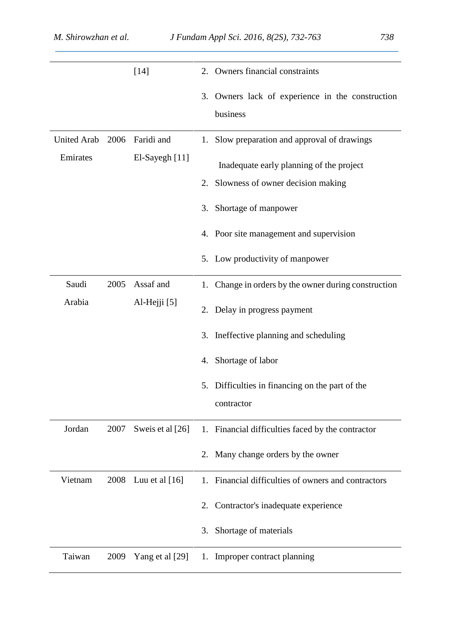|                    |      | $[14]$              |    | 2. Owners financial constraints                      |
|--------------------|------|---------------------|----|------------------------------------------------------|
|                    |      |                     |    | 3. Owners lack of experience in the construction     |
|                    |      |                     |    | business                                             |
| <b>United Arab</b> | 2006 | Faridi and          |    | 1. Slow preparation and approval of drawings         |
| Emirates           |      | El-Sayegh [11]      |    | Inadequate early planning of the project             |
|                    |      |                     | 2. | Slowness of owner decision making                    |
|                    |      |                     | 3. | Shortage of manpower                                 |
|                    |      |                     |    | 4. Poor site management and supervision              |
|                    |      |                     |    | 5. Low productivity of manpower                      |
| Saudi              | 2005 | Assaf and           |    | 1. Change in orders by the owner during construction |
| Arabia             |      | Al-Hejji [5]        | 2. | Delay in progress payment                            |
|                    |      |                     | 3. | Ineffective planning and scheduling                  |
|                    |      |                     | 4. | Shortage of labor                                    |
|                    |      |                     | 5. | Difficulties in financing on the part of the         |
|                    |      |                     |    | contractor                                           |
| Jordan             | 2007 | Sweis et al [26]    |    | 1. Financial difficulties faced by the contractor    |
|                    |      |                     |    | 2. Many change orders by the owner                   |
| Vietnam            |      | 2008 Luu et al [16] | 1. | Financial difficulties of owners and contractors     |
|                    |      |                     | 2. | Contractor's inadequate experience                   |
|                    |      |                     | 3. | Shortage of materials                                |
| Taiwan             | 2009 | Yang et al [29]     |    | 1. Improper contract planning                        |
|                    |      |                     |    |                                                      |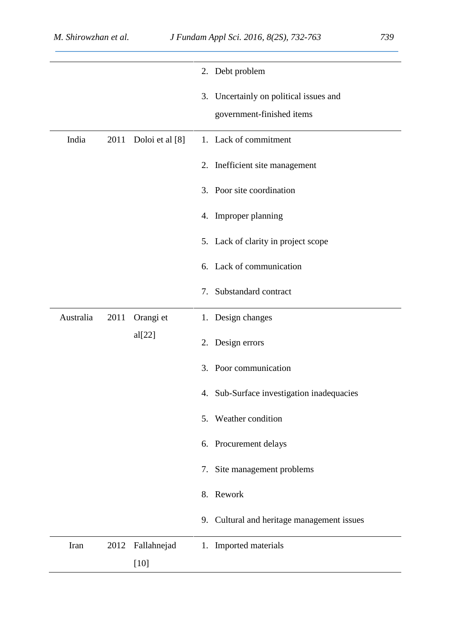|           |      |                       |    | 2. Debt problem                                                     |
|-----------|------|-----------------------|----|---------------------------------------------------------------------|
|           |      |                       |    | 3. Uncertainly on political issues and<br>government-finished items |
| India     | 2011 | Doloi et al [8]       |    | 1. Lack of commitment                                               |
|           |      |                       |    | 2. Inefficient site management                                      |
|           |      |                       |    | 3. Poor site coordination                                           |
|           |      |                       |    | 4. Improper planning                                                |
|           |      |                       |    | 5. Lack of clarity in project scope                                 |
|           |      |                       |    | 6. Lack of communication                                            |
|           |      |                       | 7. | Substandard contract                                                |
| Australia | 2011 | Orangi et             |    | 1. Design changes                                                   |
|           |      | al[22]                |    | 2. Design errors                                                    |
|           |      |                       | 3. | Poor communication                                                  |
|           |      |                       |    | 4. Sub-Surface investigation inadequacies                           |
|           |      |                       |    | 5. Weather condition                                                |
|           |      |                       |    | 6. Procurement delays                                               |
|           |      |                       |    | 7. Site management problems                                         |
|           |      |                       |    | 8. Rework                                                           |
|           |      |                       |    | 9. Cultural and heritage management issues                          |
| Iran      | 2012 | Fallahnejad<br>$[10]$ |    | 1. Imported materials                                               |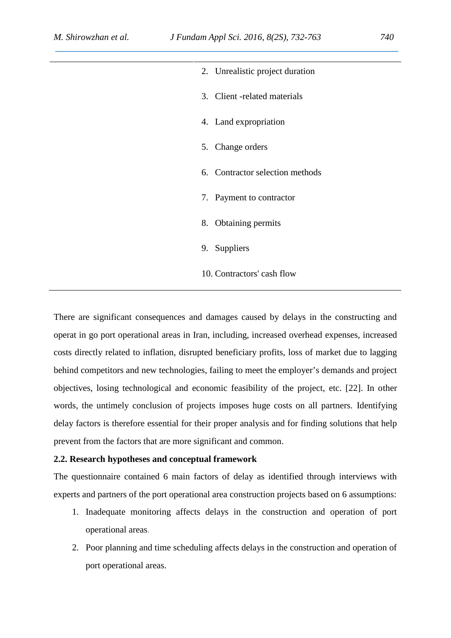| 2. Unrealistic project duration |
|---------------------------------|
| 3. Client -related materials    |
| 4. Land expropriation           |
| 5. Change orders                |
| 6. Contractor selection methods |
| 7. Payment to contractor        |
| 8. Obtaining permits            |
| 9. Suppliers                    |
| 10. Contractors' cash flow      |

There are significant consequences and damages caused by delays in the constructing and operat in go port operational areas in Iran, including, increased overhead expenses, increased costs directly related to inflation, disrupted beneficiary profits, loss of market due to lagging behind competitors and new technologies, failing to meet the employer's demands and project objectives, losing technological and economic feasibility of the project, etc. [22]. In other words, the untimely conclusion of projects imposes huge costs on all partners. Identifying delay factors is therefore essential for their proper analysis and for finding solutions that help prevent from the factors that are more significant and common.

### **2.2. Research hypotheses and conceptual framework**

The questionnaire contained 6 main factors of delay as identified through interviews with experts and partners of the port operational area construction projects based on 6 assumptions:

- 1. Inadequate monitoring affects delays in the construction and operation of port operational areas.
- 2. Poor planning and time scheduling affects delays in the construction and operation of port operational areas.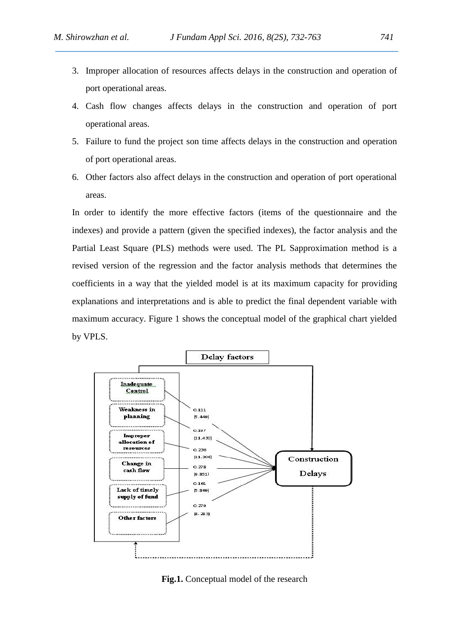- 3. Improper allocation of resources affects delays in the construction and operation of port operational areas.
- 4. Cash flow changes affects delays in the construction and operation of port operational areas.
- 5. Failure to fund the project son time affects delays in the construction and operation of port operational areas.
- 6. Other factors also affect delays in the construction and operation of port operational areas.

In order to identify the more effective factors (items of the questionnaire and the indexes) and provide a pattern (given the specified indexes), the factor analysis and the Partial Least Square (PLS) methods were used. The PL Sapproximation method is a revised version of the regression and the factor analysis methods that determines the coefficients in a way that the yielded model is at its maximum capacity for providing explanations and interpretations and is able to predict the final dependent variable with maximum accuracy. Figure 1 shows the conceptual model of the graphical chart yielded by VPLS.



**Fig.1.** Conceptual model of the research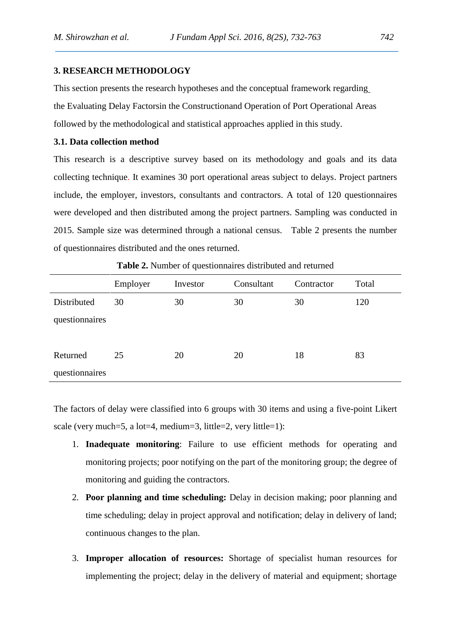## **3. RESEARCH METHODOLOGY**

This section presents the research hypotheses and the conceptual framework regarding the Evaluating Delay Factorsin the Constructionand Operation of Port Operational Areas followed by the methodological and statistical approaches applied in this study.

## **3.1. Data collection method**

This research is a descriptive survey based on its methodology and goals and its data collecting technique. It examines 30 port operational areas subject to delays. Project partners include, the employer, investors, consultants and contractors. A total of 120 questionnaires were developed and then distributed among the project partners. Sampling was conducted in 2015. Sample size was determined through a national census. Table 2 presents the number of questionnaires distributed and the ones returned.

|                | Employer | Investor | Consultant | Contractor | Total |
|----------------|----------|----------|------------|------------|-------|
| Distributed    | 30       | 30       | 30         | 30         | 120   |
| questionnaires |          |          |            |            |       |
|                |          |          |            |            |       |
| Returned       | 25       | 20       | 20         | 18         | 83    |
| questionnaires |          |          |            |            |       |

**Table 2.** Number of questionnaires distributed and returned

The factors of delay were classified into 6 groups with 30 items and using a five-point Likert scale (very much=5, a lot=4, medium=3, little=2, very little=1):

- 1. **Inadequate monitoring**: Failure to use efficient methods for operating and monitoring projects; poor notifying on the part of the monitoring group; the degree of monitoring and guiding the contractors.
- 2. **Poor planning and time scheduling:** Delay in decision making; poor planning and time scheduling; delay in project approval and notification; delay in delivery of land; continuous changes to the plan.
- 3. **Improper allocation of resources:** Shortage of specialist human resources for implementing the project; delay in the delivery of material and equipment; shortage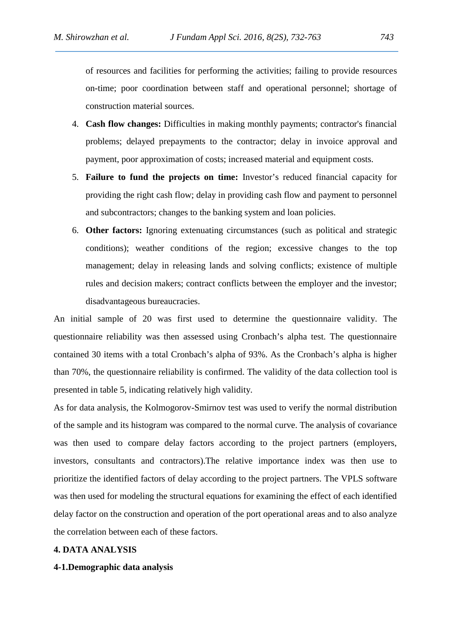of resources and facilities for performing the activities; failing to provide resources on-time; poor coordination between staff and operational personnel; shortage of construction material sources.

- 4. **Cash flow changes:** Difficulties in making monthly payments; contractor's financial problems; delayed prepayments to the contractor; delay in invoice approval and payment, poor approximation of costs; increased material and equipment costs.
- 5. **Failure to fund the projects on time:** Investor's reduced financial capacity for providing the right cash flow; delay in providing cash flow and payment to personnel and subcontractors; changes to the banking system and loan policies.
- 6. **Other factors:** Ignoring extenuating circumstances (such as political and strategic conditions); weather conditions of the region; excessive changes to the top management; delay in releasing lands and solving conflicts; existence of multiple rules and decision makers; contract conflicts between the employer and the investor; disadvantageous bureaucracies.

An initial sample of 20 was first used to determine the questionnaire validity. The questionnaire reliability was then assessed using Cronbach's alpha test. The questionnaire contained 30 items with a total Cronbach's alpha of 93%. As the Cronbach's alpha is higher than 70%, the questionnaire reliability is confirmed. The validity of the data collection tool is presented in table 5, indicating relatively high validity.

As for data analysis, the Kolmogorov-Smirnov test was used to verify the normal distribution of the sample and its histogram was compared to the normal curve. The analysis of covariance was then used to compare delay factors according to the project partners (employers, investors, consultants and contractors).The relative importance index was then use to prioritize the identified factors of delay according to the project partners. The VPLS software was then used for modeling the structural equations for examining the effect of each identified delay factor on the construction and operation of the port operational areas and to also analyze the correlation between each of these factors.

## **4. DATA ANALYSIS**

### **4-1.Demographic data analysis**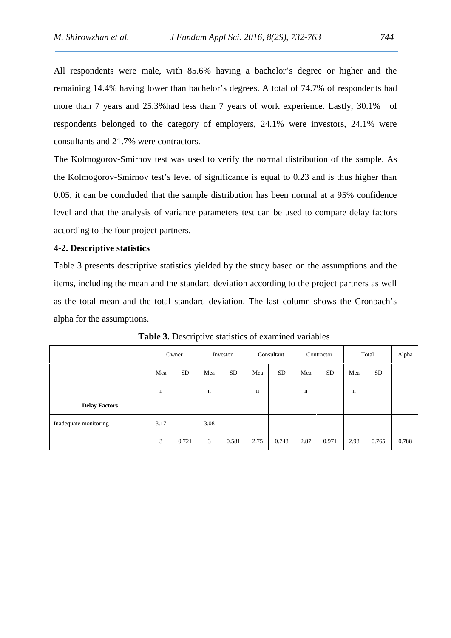All respondents were male, with 85.6% having a bachelor's degree or higher and the remaining 14.4% having lower than bachelor's degrees. A total of 74.7% of respondents had more than 7 years and 25.3%had less than 7 years of work experience. Lastly, 30.1% of respondents belonged to the category of employers, 24.1% were investors, 24.1% were consultants and 21.7% were contractors.

The Kolmogorov-Smirnov test was used to verify the normal distribution of the sample. As the Kolmogorov-Smirnov test's level of significance is equal to 0.23 and is thus higher than 0.05, it can be concluded that the sample distribution has been normal at a 95% confidence level and that the analysis of variance parameters test can be used to compare delay factors according to the four project partners.

### **4-2. Descriptive statistics**

Table 3 presents descriptive statistics yielded by the study based on the assumptions and the items, including the mean and the standard deviation according to the project partners as well as the total mean and the total standard deviation. The last column shows the Cronbach's alpha for the assumptions.

|                       |      | Owner            |      | Investor  |      | Consultant |      | Contractor |      | Total     | Alpha |
|-----------------------|------|------------------|------|-----------|------|------------|------|------------|------|-----------|-------|
|                       | Mea  | <b>SD</b><br>Mea |      | <b>SD</b> | Mea  | <b>SD</b>  | Mea  | <b>SD</b>  | Mea  | <b>SD</b> |       |
|                       | n    |                  | n    |           | n    |            | n    |            | n    |           |       |
| <b>Delay Factors</b>  |      |                  |      |           |      |            |      |            |      |           |       |
| Inadequate monitoring | 3.17 |                  | 3.08 |           |      |            |      |            |      |           |       |
|                       | 3    | 0.721            | 3    | 0.581     | 2.75 | 0.748      | 2.87 | 0.971      | 2.98 | 0.765     | 0.788 |

**Table 3.** Descriptive statistics of examined variables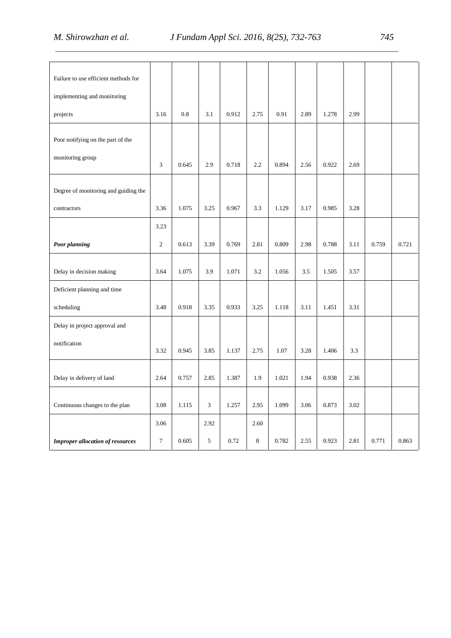| Failure to use efficient methods for    |                |           |      |       |      |       |      |       |      |       |       |
|-----------------------------------------|----------------|-----------|------|-------|------|-------|------|-------|------|-------|-------|
| implementing and monitoring             |                |           |      |       |      |       |      |       |      |       |       |
| projects                                | 3.16           | 0.8       | 3.1  | 0.912 | 2.75 | 0.91  | 2.89 | 1.278 | 2.99 |       |       |
| Poor notifying on the part of the       |                |           |      |       |      |       |      |       |      |       |       |
| monitoring group                        | 3              | 0.645     | 2.9  | 0.718 | 2.2  | 0.894 | 2.56 | 0.922 | 2.69 |       |       |
| Degree of monitoring and guiding the    |                |           |      |       |      |       |      |       |      |       |       |
| contractors                             | 3.36           | 1.075     | 3.25 | 0.967 | 3.3  | 1.129 | 3.17 | 0.985 | 3.28 |       |       |
|                                         | 3.23           |           |      |       |      |       |      |       |      |       |       |
| <b>Poor planning</b>                    | $\overline{2}$ | 0.613     | 3.39 | 0.769 | 2.81 | 0.809 | 2.98 | 0.788 | 3.11 | 0.759 | 0.721 |
| Delay in decision making                | 3.64           | 1.075     | 3.9  | 1.071 | 3.2  | 1.056 | 3.5  | 1.505 | 3.57 |       |       |
| Deficient planning and time             |                |           |      |       |      |       |      |       |      |       |       |
| scheduling                              | 3.48           | 0.918     | 3.35 | 0.933 | 3.25 | 1.118 | 3.11 | 1.451 | 3.31 |       |       |
| Delay in project approval and           |                |           |      |       |      |       |      |       |      |       |       |
| notification                            | 3.32           | 0.945     | 3.85 | 1.137 | 2.75 | 1.07  | 3.28 | 1.406 | 3.3  |       |       |
| Delay in delivery of land               | 2.64           | 0.757     | 2.85 | 1.387 | 1.9  | 1.021 | 1.94 | 0.938 | 2.36 |       |       |
| Continuous changes to the plan          | 3.08           | $1.115\,$ | 3    | 1.257 | 2.95 | 1.099 | 3.06 | 0.873 | 3.02 |       |       |
|                                         | 3.06           |           | 2.92 |       | 2.60 |       |      |       |      |       |       |
| <b>Improper allocation of resources</b> | $\tau$         | 0.605     | 5    | 0.72  | 8    | 0.782 | 2.55 | 0.923 | 2.81 | 0.771 | 0.863 |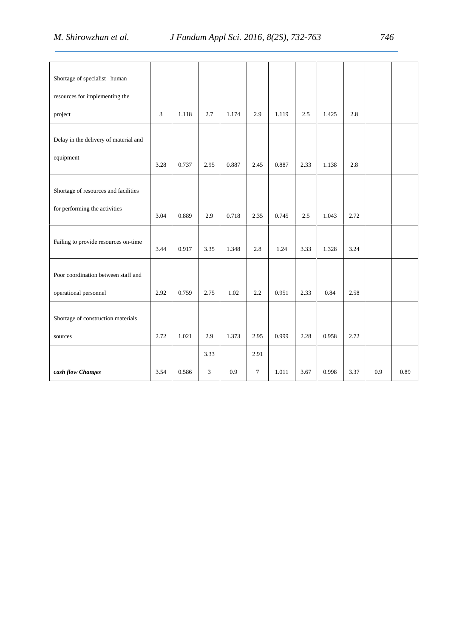| Shortage of specialist human          |                |       |      |       |        |       |      |       |      |     |      |
|---------------------------------------|----------------|-------|------|-------|--------|-------|------|-------|------|-----|------|
| resources for implementing the        |                |       |      |       |        |       |      |       |      |     |      |
| project                               | $\mathfrak{Z}$ | 1.118 | 2.7  | 1.174 | 2.9    | 1.119 | 2.5  | 1.425 | 2.8  |     |      |
| Delay in the delivery of material and |                |       |      |       |        |       |      |       |      |     |      |
| equipment                             | 3.28           | 0.737 | 2.95 | 0.887 | 2.45   | 0.887 | 2.33 | 1.138 | 2.8  |     |      |
| Shortage of resources and facilities  |                |       |      |       |        |       |      |       |      |     |      |
| for performing the activities         | 3.04           | 0.889 | 2.9  | 0.718 | 2.35   | 0.745 | 2.5  | 1.043 | 2.72 |     |      |
| Failing to provide resources on-time  | 3.44           | 0.917 | 3.35 | 1.348 | 2.8    | 1.24  | 3.33 | 1.328 | 3.24 |     |      |
| Poor coordination between staff and   |                |       |      |       |        |       |      |       |      |     |      |
| operational personnel                 | 2.92           | 0.759 | 2.75 | 1.02  | 2.2    | 0.951 | 2.33 | 0.84  | 2.58 |     |      |
| Shortage of construction materials    |                |       |      |       |        |       |      |       |      |     |      |
| sources                               | 2.72           | 1.021 | 2.9  | 1.373 | 2.95   | 0.999 | 2.28 | 0.958 | 2.72 |     |      |
|                                       |                |       | 3.33 |       | 2.91   |       |      |       |      |     |      |
| cash flow Changes                     | 3.54           | 0.586 | 3    | 0.9   | $\tau$ | 1.011 | 3.67 | 0.998 | 3.37 | 0.9 | 0.89 |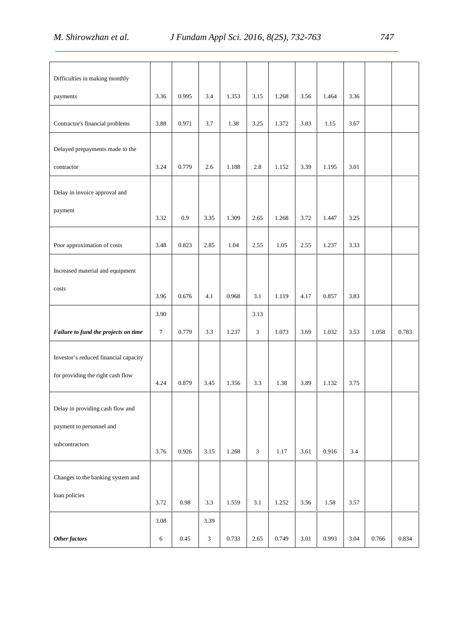| Difficulties in making monthly        |        |            |      |       |                |       |      |       |      |       |       |
|---------------------------------------|--------|------------|------|-------|----------------|-------|------|-------|------|-------|-------|
| payments                              | 3.36   | 0.995      | 3.4  | 1.353 | 3.15           | 1.268 | 3.56 | 1.464 | 3.36 |       |       |
| Contractor's financial problems       | 3.88   | 0.971      | 3.7  | 1.38  | 3.25           | 1.372 | 3.83 | 1.15  | 3.67 |       |       |
| Delayed prepayments made to the       |        |            |      |       |                |       |      |       |      |       |       |
| contractor                            | 3.24   | 0.779      | 2.6  | 1.188 | 2.8            | 1.152 | 3.39 | 1.195 | 3.01 |       |       |
| Delay in invoice approval and         |        |            |      |       |                |       |      |       |      |       |       |
| payment                               | 3.32   | 0.9        | 3.35 | 1.309 | 2.65           | 1.268 | 3.72 | 1.447 | 3.25 |       |       |
| Poor approximation of costs           | 3.48   | 0.823      | 2.85 | 1.04  | 2.55           | 1.05  | 2.55 | 1.237 | 3.33 |       |       |
| Increased material and equipment      |        |            |      |       |                |       |      |       |      |       |       |
| costs                                 | 3.96   | 0.676      | 4.1  | 0.968 | 3.1            | 1.119 | 4.17 | 0.857 | 3.83 |       |       |
|                                       | 3.90   |            |      |       | 3.13           |       |      |       |      |       |       |
| Failure to fund the projects on time  | $\tau$ | 0.779      | 3.3  | 1.237 | $\mathfrak{Z}$ | 1.073 | 3.69 | 1.032 | 3.53 | 1.058 | 0.783 |
| Investor's reduced financial capacity |        |            |      |       |                |       |      |       |      |       |       |
| for providing the right cash flow     | 4.24   | 0.879      | 3.45 | 1.356 | 3.3            | 1.38  | 3.89 | 1.132 | 3.75 |       |       |
| Delay in providing cash flow and      |        |            |      |       |                |       |      |       |      |       |       |
| payment to personnel and              |        |            |      |       |                |       |      |       |      |       |       |
| subcontractors                        | 3.76   | 0.926      | 3.15 | 1.268 | 3              | 1.17  | 3.61 | 0.916 | 3.4  |       |       |
| Changes to the banking system and     |        |            |      |       |                |       |      |       |      |       |       |
| loan policies                         | 3.72   | $\rm 0.98$ | 3.3  | 1.559 | 3.1            | 1.252 | 3.56 | 1.58  | 3.57 |       |       |
|                                       | 3.08   |            | 3.39 |       |                |       |      |       |      |       |       |
| Other factors                         | 6      | 0.45       | 3    | 0.733 | 2.65           | 0.749 | 3.01 | 0.993 | 3.04 | 0.766 | 0.834 |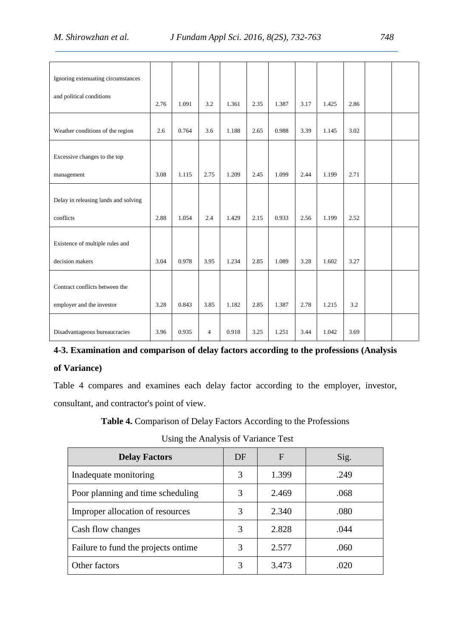| Ignoring extenuating circumstances   |      |       |      |       |      |       |      |       |      |  |
|--------------------------------------|------|-------|------|-------|------|-------|------|-------|------|--|
| and political conditions             | 2.76 | 1.091 | 3.2  | 1.361 | 2.35 | 1.387 | 3.17 | 1.425 | 2.86 |  |
| Weather conditions of the region     | 2.6  | 0.764 | 3.6  | 1.188 | 2.65 | 0.988 | 3.39 | 1.145 | 3.02 |  |
| Excessive changes to the top         |      |       |      |       |      |       |      |       |      |  |
| management                           | 3.08 | 1.115 | 2.75 | 1.209 | 2.45 | 1.099 | 2.44 | 1.199 | 2.71 |  |
| Delay in releasing lands and solving |      |       |      |       |      |       |      |       |      |  |
| conflicts                            | 2.88 | 1.054 | 2.4  | 1.429 | 2.15 | 0.933 | 2.56 | 1.199 | 2.52 |  |
| Existence of multiple rules and      |      |       |      |       |      |       |      |       |      |  |
| decision makers                      | 3.04 | 0.978 | 3.95 | 1.234 | 2.85 | 1.089 | 3.28 | 1.602 | 3.27 |  |
| Contract conflicts between the       |      |       |      |       |      |       |      |       |      |  |
| employer and the investor            | 3.28 | 0.843 | 3.85 | 1.182 | 2.85 | 1.387 | 2.78 | 1.215 | 3.2  |  |
| Disadvantageous bureaucracies        | 3.96 | 0.935 | 4    | 0.918 | 3.25 | 1.251 | 3.44 | 1.042 | 3.69 |  |

## **4-3. Examination and comparison of delay factors according to the professions (Analysis of Variance)**

Table 4 compares and examines each delay factor according to the employer, investor, consultant, and contractor's point of view.

**Table 4.** Comparison of Delay Factors According to the Professions

Using the Analysis of Variance Test

| <b>Delay Factors</b>                 | DF | $\mathbf F$ | Sig. |
|--------------------------------------|----|-------------|------|
| Inadequate monitoring                | 3  | 1.399       | .249 |
| Poor planning and time scheduling    | 3  | 2.469       | .068 |
| Improper allocation of resources     | 3  | 2.340       | .080 |
| Cash flow changes                    | 3  | 2.828       | .044 |
| Failure to fund the projects on time | 3  | 2.577       | .060 |
| Other factors                        | 3  | 3.473       | .020 |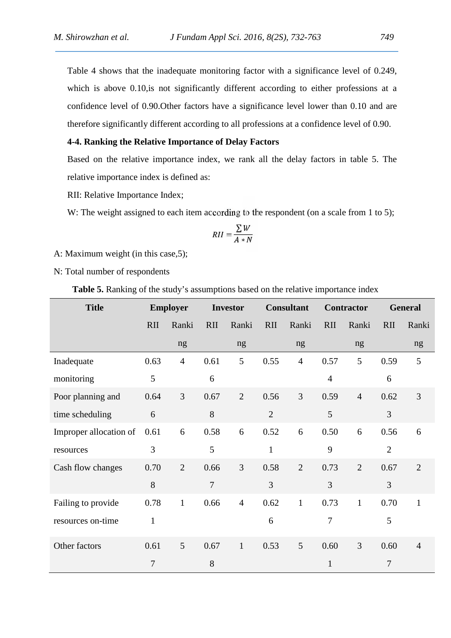Table 4 shows that the inadequate monitoring factor with a significance level of 0.249, which is above 0.10, is not significantly different according to either professions at a confidence level of 0.90.Other factors have a significance level lower than 0.10 and are therefore significantly different according to all professions at a confidence level of 0.90.

## **4-4. Ranking the Relative Importance of Delay Factors**

Based on the relative importance index, we rank all the delay factors in table 5. The relative importance index is defined as:

RII: Relative Importance Index;

W: The weight assigned to each item according to the respondent (on a scale from 1 to 5);

$$
RII = \frac{\sum W}{A*N}
$$

A: Maximum weight (in this case,5);

N: Total number of respondents

**Table 5.** Ranking of the study's assumptions based on the relative importance index

| <b>Title</b>           | <b>Employer</b> |                | <b>Investor</b> |                | <b>Consultant</b> |                | <b>Contractor</b> |                | <b>General</b> |                |
|------------------------|-----------------|----------------|-----------------|----------------|-------------------|----------------|-------------------|----------------|----------------|----------------|
|                        | RII             | Ranki          | RII             | Ranki          | RII               | Ranki          | RII               | Ranki          | RII            | Ranki          |
|                        |                 | ng             |                 | ng             |                   | ng             |                   | ng             |                | ng             |
| Inadequate             | 0.63            | $\overline{4}$ | 0.61            | 5              | 0.55              | $\overline{4}$ | 0.57              | 5              | 0.59           | 5              |
| monitoring             | 5               |                | 6               |                |                   |                | $\overline{4}$    |                | 6              |                |
| Poor planning and      | 0.64            | 3              | 0.67            | $\overline{2}$ | 0.56              | $\overline{3}$ | 0.59              | $\overline{4}$ | 0.62           | $\overline{3}$ |
| time scheduling        | 6               |                | 8               |                | $\sqrt{2}$        |                | 5                 |                | 3              |                |
| Improper allocation of | 0.61            | 6              | 0.58            | 6              | 0.52              | 6              | 0.50              | 6              | 0.56           | 6              |
| resources              | 3               |                | 5               |                | $\mathbf{1}$      |                | 9                 |                | $\overline{2}$ |                |
| Cash flow changes      | 0.70            | $\overline{2}$ | 0.66            | $\overline{3}$ | 0.58              | $\overline{2}$ | 0.73              | $\overline{2}$ | 0.67           | $\overline{2}$ |
|                        | 8               |                | $\overline{7}$  |                | $\overline{3}$    |                | $\overline{3}$    |                | $\overline{3}$ |                |
| Failing to provide     | 0.78            | $\mathbf{1}$   | 0.66            | $\overline{4}$ | 0.62              | $\mathbf{1}$   | 0.73              | $\mathbf{1}$   | 0.70           | $\mathbf{1}$   |
| resources on-time      | $\mathbf{1}$    |                |                 |                | 6                 |                | 7                 |                | 5              |                |
| Other factors          | 0.61            | 5              | 0.67            | $\mathbf{1}$   | 0.53              | 5              | 0.60              | $\overline{3}$ | 0.60           | $\overline{4}$ |
|                        | $\overline{7}$  |                | 8               |                |                   |                | $\mathbf{1}$      |                | $\overline{7}$ |                |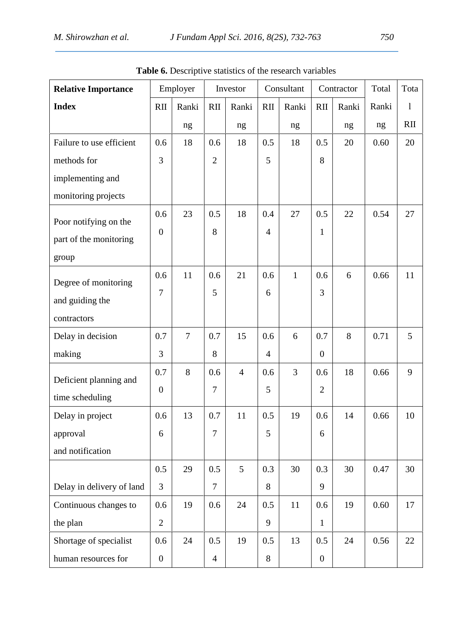| <b>Relative Importance</b> | Employer         |                | Investor       |                | Consultant     |              | Contractor       |       | Total | Tota         |
|----------------------------|------------------|----------------|----------------|----------------|----------------|--------------|------------------|-------|-------|--------------|
| <b>Index</b>               | RII              | Ranki          | RII            | Ranki          | <b>RII</b>     | Ranki        | RII              | Ranki | Ranki | $\mathbf{1}$ |
|                            |                  | ng             |                | ng             |                | ng           |                  | ng    | ng    | RII          |
| Failure to use efficient   | 0.6              | 18             | 0.6            | 18             | 0.5            | 18           | 0.5              | 20    | 0.60  | 20           |
| methods for                | 3                |                | $\overline{2}$ |                | 5              |              | 8                |       |       |              |
| implementing and           |                  |                |                |                |                |              |                  |       |       |              |
| monitoring projects        |                  |                |                |                |                |              |                  |       |       |              |
| Poor notifying on the      | 0.6              | 23             | 0.5            | 18             | 0.4            | 27           | 0.5              | 22    | 0.54  | 27           |
| part of the monitoring     | $\boldsymbol{0}$ |                | 8              |                | $\overline{4}$ |              | $\mathbf{1}$     |       |       |              |
|                            |                  |                |                |                |                |              |                  |       |       |              |
| group                      | 0.6              | 11             | 0.6            | 21             | 0.6            | $\mathbf{1}$ | 0.6              | 6     | 0.66  | 11           |
| Degree of monitoring       | 7                |                | 5              |                | 6              |              | 3                |       |       |              |
| and guiding the            |                  |                |                |                |                |              |                  |       |       |              |
| contractors                |                  |                |                |                |                |              |                  |       |       |              |
| Delay in decision          | 0.7              | $\overline{7}$ | 0.7            | 15             | 0.6            | 6            | 0.7              | 8     | 0.71  | 5            |
| making                     | 3                |                | 8              |                | $\overline{4}$ |              | $\overline{0}$   |       |       |              |
| Deficient planning and     | 0.7              | 8              | 0.6            | $\overline{4}$ | 0.6            | 3            | 0.6              | 18    | 0.66  | 9            |
| time scheduling            | $\boldsymbol{0}$ |                | $\overline{7}$ |                | 5              |              | $\overline{2}$   |       |       |              |
| Delay in project           | 0.6              | 13             | 0.7            | 11             | 0.5            | 19           | 0.6              | 14    | 0.66  | 10           |
| approval                   | 6                |                | $\overline{7}$ |                | 5              |              | 6                |       |       |              |
| and notification           |                  |                |                |                |                |              |                  |       |       |              |
|                            | 0.5              | 29             | 0.5            | 5              | 0.3            | 30           | 0.3              | 30    | 0.47  | 30           |
| Delay in delivery of land  | $\overline{3}$   |                | $\overline{7}$ |                | 8              |              | 9                |       |       |              |
|                            | 0.6              | 19             | 0.6            | 24             | 0.5            | 11           | 0.6              | 19    | 0.60  | 17           |
| Continuous changes to      |                  |                |                |                | 9              |              |                  |       |       |              |
| the plan                   | $\overline{2}$   |                |                |                |                |              | $\mathbf{1}$     |       |       |              |
| Shortage of specialist     | 0.6              | 24             | 0.5            | 19             | 0.5            | 13           | 0.5              | 24    | 0.56  | 22           |
| human resources for        | $\boldsymbol{0}$ |                | $\overline{4}$ |                | 8              |              | $\boldsymbol{0}$ |       |       |              |

**Table 6.** Descriptive statistics of the research variables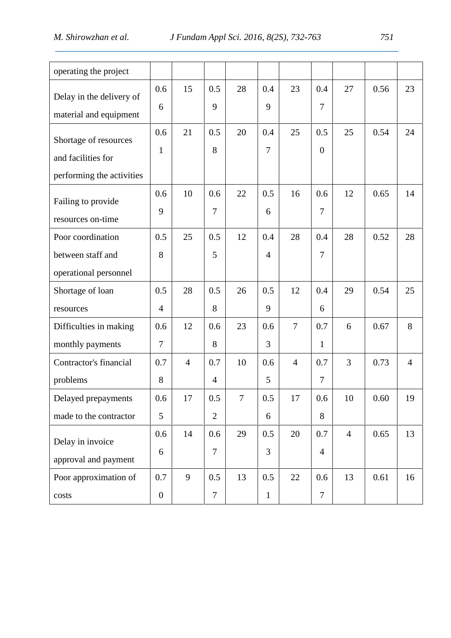| operating the project                                                    |                         |                |                       |        |                       |                |                         |                |      |                |
|--------------------------------------------------------------------------|-------------------------|----------------|-----------------------|--------|-----------------------|----------------|-------------------------|----------------|------|----------------|
| Delay in the delivery of<br>material and equipment                       | 0.6<br>6                | 15             | 0.5<br>9              | 28     | 0.4<br>9              | 23             | 0.4<br>$\boldsymbol{7}$ | 27             | 0.56 | 23             |
| Shortage of resources<br>and facilities for<br>performing the activities | 0.6<br>$\mathbf{1}$     | 21             | 0.5<br>8              | 20     | 0.4<br>$\overline{7}$ | 25             | 0.5<br>$\boldsymbol{0}$ | 25             | 0.54 | 24             |
| Failing to provide<br>resources on-time                                  | 0.6<br>9                | 10             | 0.6<br>7              | 22     | 0.5<br>6              | 16             | 0.6<br>$\overline{7}$   | 12             | 0.65 | 14             |
| Poor coordination<br>between staff and<br>operational personnel          | 0.5<br>8                | 25             | 0.5<br>5              | 12     | 0.4<br>$\overline{4}$ | 28             | 0.4<br>7                | 28             | 0.52 | 28             |
| Shortage of loan<br>resources                                            | 0.5<br>$\overline{4}$   | 28             | 0.5<br>8              | 26     | 0.5<br>9              | 12             | 0.4<br>6                | 29             | 0.54 | 25             |
| Difficulties in making<br>monthly payments                               | 0.6<br>$\tau$           | 12             | 0.6<br>8              | 23     | 0.6<br>3              | $\overline{7}$ | 0.7<br>$\mathbf{1}$     | 6              | 0.67 | 8              |
| Contractor's financial<br>problems                                       | 0.7<br>8                | $\overline{4}$ | 0.7<br>$\overline{4}$ | 10     | 0.6<br>5              | $\overline{4}$ | 0.7<br>7                | 3              | 0.73 | $\overline{4}$ |
| Delayed prepayments<br>made to the contractor                            | 0.6<br>5                | 17             | 0.5<br>$\overline{2}$ | $\tau$ | 0.5<br>6              | 17             | 0.6<br>8                | 10             | 0.60 | 19             |
| Delay in invoice<br>approval and payment                                 | 0.6<br>6                | 14             | 0.6<br>$\overline{7}$ | 29     | 0.5<br>3              | 20             | 0.7<br>$\overline{4}$   | $\overline{4}$ | 0.65 | 13             |
| Poor approximation of<br>costs                                           | 0.7<br>$\boldsymbol{0}$ | 9              | 0.5<br>$\tau$         | 13     | 0.5<br>$\mathbf{1}$   | 22             | 0.6<br>$\tau$           | 13             | 0.61 | 16             |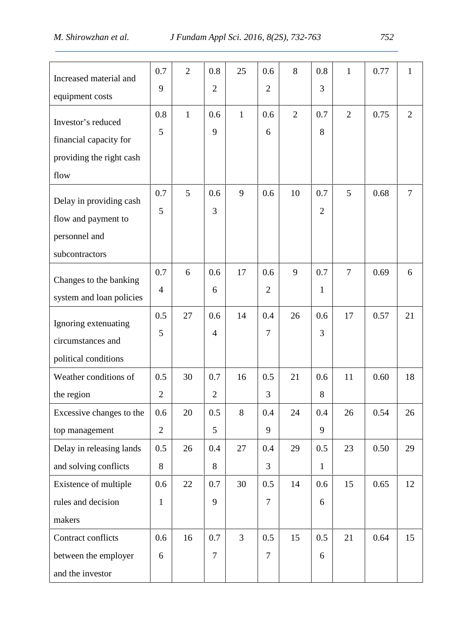| Increased material and   | 0.7            | $\overline{2}$ | 0.8            | 25             | 0.6            | 8              | 0.8            | $\mathbf{1}$   | 0.77 | $\mathbf{1}$   |
|--------------------------|----------------|----------------|----------------|----------------|----------------|----------------|----------------|----------------|------|----------------|
| equipment costs          | 9              |                | $\overline{2}$ |                | $\overline{2}$ |                | 3              |                |      |                |
| Investor's reduced       | 0.8            | $\mathbf{1}$   | 0.6            | $\mathbf{1}$   | 0.6            | $\overline{2}$ | 0.7            | $\overline{2}$ | 0.75 | $\overline{2}$ |
| financial capacity for   | 5              |                | 9              |                | 6              |                | 8              |                |      |                |
| providing the right cash |                |                |                |                |                |                |                |                |      |                |
| flow                     |                |                |                |                |                |                |                |                |      |                |
|                          | 0.7            | 5              | 0.6            | 9              | 0.6            | 10             | 0.7            | 5              | 0.68 | $\overline{7}$ |
| Delay in providing cash  | 5              |                | 3              |                |                |                | $\overline{2}$ |                |      |                |
| flow and payment to      |                |                |                |                |                |                |                |                |      |                |
| personnel and            |                |                |                |                |                |                |                |                |      |                |
| subcontractors           |                |                |                |                |                |                |                |                |      |                |
| Changes to the banking   | 0.7            | 6              | 0.6            | 17             | 0.6            | 9              | 0.7            | $\overline{7}$ | 0.69 | 6              |
| system and loan policies | $\overline{4}$ |                | 6              |                | $\overline{2}$ |                | $\mathbf{1}$   |                |      |                |
| Ignoring extenuating     | 0.5            | 27             | 0.6            | 14             | 0.4            | 26             | 0.6            | 17             | 0.57 | 21             |
| circumstances and        | 5              |                | $\overline{4}$ |                | $\overline{7}$ |                | 3              |                |      |                |
|                          |                |                |                |                |                |                |                |                |      |                |
| political conditions     |                |                |                |                |                |                |                |                |      |                |
| Weather conditions of    | 0.5            | 30             | 0.7            | 16             | 0.5            | 21             | 0.6            | 11             | 0.60 | 18             |
| the region               | $\overline{2}$ |                | $\overline{2}$ |                | 3              |                | 8              |                |      |                |
| Excessive changes to the | 0.6            | 20             | 0.5            | 8              | 0.4            | 24             | 0.4            | 26             | 0.54 | 26             |
| top management           | $\overline{2}$ |                | 5              |                | 9              |                | 9              |                |      |                |
| Delay in releasing lands | 0.5            | 26             | 0.4            | 27             | 0.4            | 29             | 0.5            | 23             | 0.50 | 29             |
| and solving conflicts    | $8\,$          |                | 8              |                | 3              |                | $\mathbf{1}$   |                |      |                |
| Existence of multiple    | 0.6            | 22             | 0.7            | 30             | 0.5            | 14             | 0.6            | 15             | 0.65 | 12             |
| rules and decision       | $\mathbf{1}$   |                | 9              |                | $\overline{7}$ |                | 6              |                |      |                |
| makers                   |                |                |                |                |                |                |                |                |      |                |
| Contract conflicts       | 0.6            | 16             | 0.7            | $\overline{3}$ | 0.5            | 15             | 0.5            | 21             | 0.64 | 15             |
| between the employer     | 6              |                | $\overline{7}$ |                | $\overline{7}$ |                | 6              |                |      |                |
| and the investor         |                |                |                |                |                |                |                |                |      |                |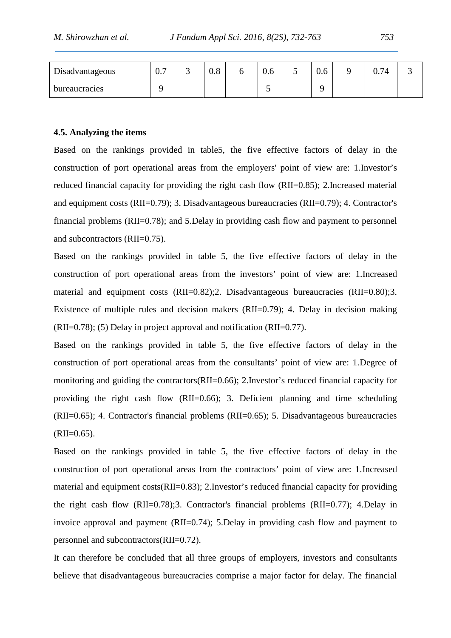| $\mathbf{r}$ .<br>Disadvantageous | $\overline{\phantom{0}}$<br>v. | ັ | C.<br>$\mathsf{U}.\mathsf{C}$ | υ | $\sim$<br>V.O | $\overline{\phantom{0}}$ | v.o | 0.74 | ັ |
|-----------------------------------|--------------------------------|---|-------------------------------|---|---------------|--------------------------|-----|------|---|
| <b>bureaucracies</b>              |                                |   |                               |   | ັ             |                          |     |      |   |

### **4.5. Analyzing the items**

Based on the rankings provided in table5, the five effective factors of delay in the construction of port operational areas from the employers' point of view are: 1.Investor's reduced financial capacity for providing the right cash flow (RII=0.85); 2.Increased material and equipment costs (RII=0.79); 3. Disadvantageous bureaucracies (RII=0.79); 4. Contractor's financial problems (RII=0.78); and 5.Delay in providing cash flow and payment to personnel and subcontractors (RII=0.75).

Based on the rankings provided in table 5, the five effective factors of delay in the construction of port operational areas from the investors' point of view are: 1.Increased material and equipment costs (RII=0.82);2. Disadvantageous bureaucracies (RII=0.80);3. Existence of multiple rules and decision makers (RII=0.79); 4. Delay in decision making (RII=0.78); (5) Delay in project approval and notification (RII=0.77).

Based on the rankings provided in table 5, the five effective factors of delay in the construction of port operational areas from the consultants' point of view are: 1.Degree of monitoring and guiding the contractors(RII=0.66); 2.Investor's reduced financial capacity for providing the right cash flow (RII=0.66); 3. Deficient planning and time scheduling (RII=0.65); 4. Contractor's financial problems (RII=0.65); 5. Disadvantageous bureaucracies  $(RII=0.65)$ .

Based on the rankings provided in table 5, the five effective factors of delay in the construction of port operational areas from the contractors' point of view are: 1.Increased material and equipment costs(RII=0.83); 2.Investor's reduced financial capacity for providing the right cash flow (RII=0.78);3. Contractor's financial problems (RII=0.77); 4.Delay in invoice approval and payment (RII=0.74); 5.Delay in providing cash flow and payment to personnel and subcontractors(RII=0.72).

It can therefore be concluded that all three groups of employers, investors and consultants believe that disadvantageous bureaucracies comprise a major factor for delay. The financial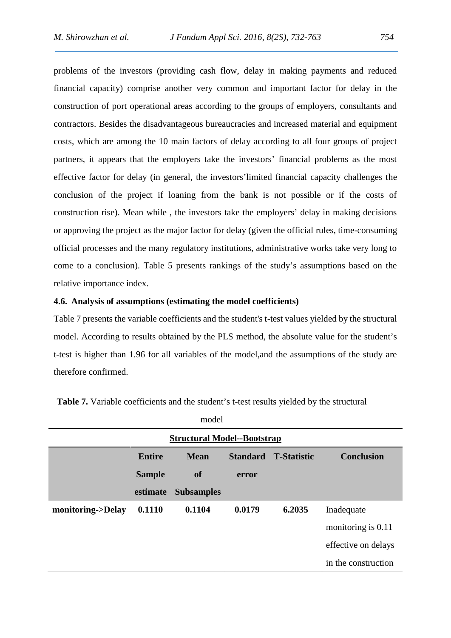problems of the investors (providing cash flow, delay in making payments and reduced financial capacity) comprise another very common and important factor for delay in the construction of port operational areas according to the groups of employers, consultants and contractors. Besides the disadvantageous bureaucracies and increased material and equipment costs, which are among the 10 main factors of delay according to all four groups of project partners, it appears that the employers take the investors' financial problems as the most effective factor for delay (in general, the investors'limited financial capacity challenges the conclusion of the project if loaning from the bank is not possible or if the costs of construction rise). Mean while , the investors take the employers' delay in making decisions or approving the project as the major factor for delay (given the official rules, time-consuming official processes and the many regulatory institutions, administrative works take very long to come to a conclusion). Table 5 presents rankings of the study's assumptions based on the relative importance index.

### **4.6. Analysis of assumptions (estimating the model coefficients)**

Table 7 presents the variable coefficients and the student's t-test values yielded by the structural model. According to results obtained by the PLS method, the absolute value for the student's t-test is higher than 1.96 for all variables of the model,and the assumptions of the study are therefore confirmed.

|                                    |               | model             |                 |                    |                     |  |  |  |  |  |
|------------------------------------|---------------|-------------------|-----------------|--------------------|---------------------|--|--|--|--|--|
| <b>Structural Model--Bootstrap</b> |               |                   |                 |                    |                     |  |  |  |  |  |
|                                    | <b>Entire</b> | <b>Mean</b>       | <b>Standard</b> | <b>T-Statistic</b> | <b>Conclusion</b>   |  |  |  |  |  |
|                                    | <b>Sample</b> | <b>of</b>         | error           |                    |                     |  |  |  |  |  |
|                                    | estimate      | <b>Subsamples</b> |                 |                    |                     |  |  |  |  |  |
| monitoring->Delay                  | 0.1110        | 0.1104            | 0.0179          | 6.2035             | Inadequate          |  |  |  |  |  |
|                                    |               |                   |                 |                    | monitoring is 0.11  |  |  |  |  |  |
|                                    |               |                   |                 |                    | effective on delays |  |  |  |  |  |
|                                    |               |                   |                 |                    | in the construction |  |  |  |  |  |

**Table 7.** Variable coefficients and the student's t-test results yielded by the structural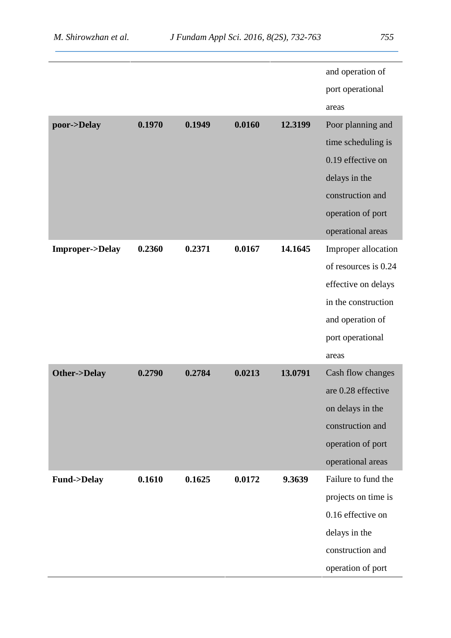|                           |        |        |        |         | and operation of     |
|---------------------------|--------|--------|--------|---------|----------------------|
|                           |        |        |        |         | port operational     |
|                           |        |        |        |         | areas                |
| poor->Delay               | 0.1970 | 0.1949 | 0.0160 | 12.3199 | Poor planning and    |
|                           |        |        |        |         | time scheduling is   |
|                           |        |        |        |         | 0.19 effective on    |
|                           |        |        |        |         | delays in the        |
|                           |        |        |        |         | construction and     |
|                           |        |        |        |         | operation of port    |
|                           |        |        |        |         | operational areas    |
| <b>Improper-&gt;Delay</b> | 0.2360 | 0.2371 | 0.0167 | 14.1645 | Improper allocation  |
|                           |        |        |        |         | of resources is 0.24 |
|                           |        |        |        |         | effective on delays  |
|                           |        |        |        |         | in the construction  |
|                           |        |        |        |         | and operation of     |
|                           |        |        |        |         | port operational     |
|                           |        |        |        |         | areas                |
| Other->Delay              | 0.2790 | 0.2784 | 0.0213 | 13.0791 | Cash flow changes    |
|                           |        |        |        |         | are 0.28 effective   |
|                           |        |        |        |         | on delays in the     |
|                           |        |        |        |         | construction and     |
|                           |        |        |        |         | operation of port    |
|                           |        |        |        |         | operational areas    |
| <b>Fund-&gt;Delay</b>     | 0.1610 | 0.1625 | 0.0172 | 9.3639  | Failure to fund the  |
|                           |        |        |        |         | projects on time is  |
|                           |        |        |        |         | 0.16 effective on    |
|                           |        |        |        |         | delays in the        |
|                           |        |        |        |         | construction and     |
|                           |        |        |        |         | operation of port    |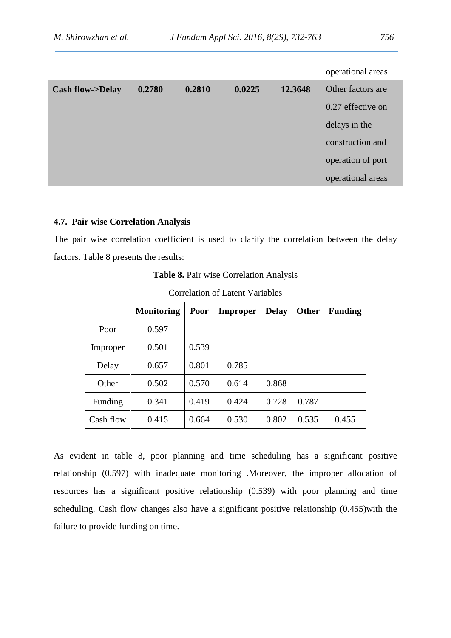|                            |        |        |        |         | operational areas |
|----------------------------|--------|--------|--------|---------|-------------------|
| <b>Cash flow-&gt;Delay</b> | 0.2780 | 0.2810 | 0.0225 | 12.3648 | Other factors are |
|                            |        |        |        |         | 0.27 effective on |
|                            |        |        |        |         | delays in the     |
|                            |        |        |        |         | construction and  |
|                            |        |        |        |         | operation of port |
|                            |        |        |        |         | operational areas |

## **4.7. Pair wise Correlation Analysis**

The pair wise correlation coefficient is used to clarify the correlation between the delay factors. Table 8 presents the results:

| <b>Correlation of Latent Variables</b> |                   |       |                 |              |              |                |  |  |  |  |
|----------------------------------------|-------------------|-------|-----------------|--------------|--------------|----------------|--|--|--|--|
|                                        | <b>Monitoring</b> | Poor  | <b>Improper</b> | <b>Delay</b> | <b>Other</b> | <b>Funding</b> |  |  |  |  |
| Poor                                   | 0.597             |       |                 |              |              |                |  |  |  |  |
| Improper                               | 0.501             | 0.539 |                 |              |              |                |  |  |  |  |
| Delay                                  | 0.657             | 0.801 | 0.785           |              |              |                |  |  |  |  |
| Other                                  | 0.502             | 0.570 | 0.614           | 0.868        |              |                |  |  |  |  |
| Funding                                | 0.341             | 0.419 | 0.424           | 0.728        | 0.787        |                |  |  |  |  |
| Cash flow                              | 0.415             | 0.664 | 0.530           | 0.802        | 0.535        | 0.455          |  |  |  |  |

**Table 8.** Pair wise Correlation Analysis

As evident in table 8, poor planning and time scheduling has a significant positive relationship (0.597) with inadequate monitoring .Moreover, the improper allocation of resources has a significant positive relationship (0.539) with poor planning and time scheduling. Cash flow changes also have a significant positive relationship (0.455)with the failure to provide funding on time.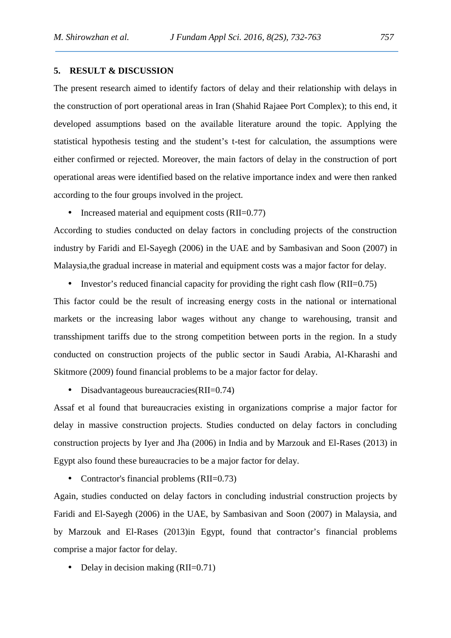## **5. RESULT & DISCUSSION**

The present research aimed to identify factors of delay and their relationship with delays in the construction of port operational areas in Iran (Shahid Rajaee Port Complex); to this end, it developed assumptions based on the available literature around the topic. Applying the statistical hypothesis testing and the student's t-test for calculation, the assumptions were either confirmed or rejected. Moreover, the main factors of delay in the construction of port operational areas were identified based on the relative importance index and were then ranked according to the four groups involved in the project.

• Increased material and equipment costs  $(RII=0.77)$ 

According to studies conducted on delay factors in concluding projects of the construction industry by Faridi and El-Sayegh (2006) in the UAE and by Sambasivan and Soon (2007) in Malaysia,the gradual increase in material and equipment costs was a major factor for delay.

• Investor's reduced financial capacity for providing the right cash flow (RII= $0.75$ )

This factor could be the result of increasing energy costs in the national or international markets or the increasing labor wages without any change to warehousing, transit and transshipment tariffs due to the strong competition between ports in the region. In a study conducted on construction projects of the public sector in Saudi Arabia, Al-Kharashi and Skitmore (2009) found financial problems to be a major factor for delay.

• Disadvantageous bureaucracies(RII=0.74)

Assaf et al found that bureaucracies existing in organizations comprise a major factor for delay in massive construction projects. Studies conducted on delay factors in concluding construction projects by Iyer and Jha (2006) in India and by Marzouk and El-Rases (2013) in Egypt also found these bureaucracies to be a major factor for delay.

• Contractor's financial problems (RII=0.73)

Again, studies conducted on delay factors in concluding industrial construction projects by Faridi and El-Sayegh (2006) in the UAE, by Sambasivan and Soon (2007) in Malaysia, and by Marzouk and El-Rases (2013)in Egypt, found that contractor's financial problems comprise a major factor for delay.

• Delay in decision making  $(RII=0.71)$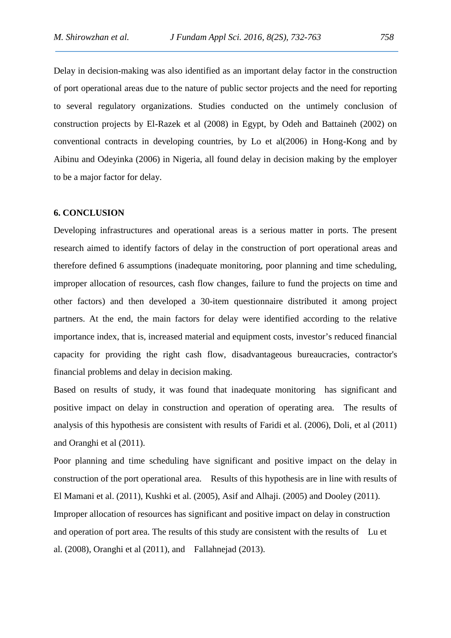Delay in decision-making was also identified as an important delay factor in the construction of port operational areas due to the nature of public sector projects and the need for reporting to several regulatory organizations. Studies conducted on the untimely conclusion of construction projects by El-Razek et al (2008) in Egypt, by Odeh and Battaineh (2002) on conventional contracts in developing countries, by Lo et al(2006) in Hong-Kong and by Aibinu and Odeyinka (2006) in Nigeria, all found delay in decision making by the employer to be a major factor for delay.

### **6. CONCLUSION**

Developing infrastructures and operational areas is a serious matter in ports. The present research aimed to identify factors of delay in the construction of port operational areas and therefore defined 6 assumptions (inadequate monitoring, poor planning and time scheduling, improper allocation of resources, cash flow changes, failure to fund the projects on time and other factors) and then developed a 30-item questionnaire distributed it among project partners. At the end, the main factors for delay were identified according to the relative importance index, that is, increased material and equipment costs, investor's reduced financial capacity for providing the right cash flow, disadvantageous bureaucracies, contractor's financial problems and delay in decision making.

Based on results of study, it was found that inadequate monitoring has significant and positive impact on delay in construction and operation of operating area. The results of analysis of this hypothesis are consistent with results of Faridi et al. (2006), Doli, et al (2011) and Oranghi et al (2011).

Poor planning and time scheduling have significant and positive impact on the delay in construction of the port operational area. Results of this hypothesis are in line with results of El Mamani et al. (2011), Kushki et al. (2005), Asif and Alhaji. (2005) and Dooley (2011). Improper allocation of resources has significant and positive impact on delay in construction and operation of port area. The results of this study are consistent with the results of Lu et al. (2008), Oranghi et al (2011), and Fallahnejad (2013).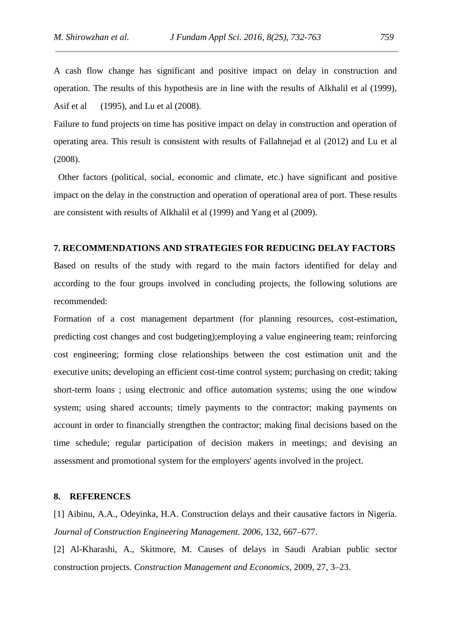A cash flow change has significant and positive impact on delay in construction and operation. The results of this hypothesis are in line with the results of Alkhalil et al (1999), Asif et al (1995), and Lu et al (2008).

Failure to fund projects on time has positive impact on delay in construction and operation of operating area. This result is consistent with results of Fallahnejad et al (2012) and Lu et al (2008).

Other factors (political, social, economic and climate, etc.) have significant and positive impact on the delay in the construction and operation of operational area of port. These results are consistent with results of Alkhalil et al (1999) and Yang et al (2009).

## **7. RECOMMENDATIONS AND STRATEGIES FOR REDUCING DELAY FACTORS**

Based on results of the study with regard to the main factors identified for delay and according to the four groups involved in concluding projects, the following solutions are recommended:

Formation of a cost management department (for planning resources, cost-estimation, predicting cost changes and cost budgeting);employing a value engineering team; reinforcing cost engineering; forming close relationships between the cost estimation unit and the executive units; developing an efficient cost-time control system; purchasing on credit; taking short-term loans ; using electronic and office automation systems; using the one window system; using shared accounts; timely payments to the contractor; making payments on account in order to financially strengthen the contractor; making final decisions based on the time schedule; regular participation of decision makers in meetings; and devising an assessment and promotional system for the employers' agents involved in the project.

### **8. REFERENCES**

[1] Aibinu, A.A., Odeyinka, H.A. Construction delays and their causative factors in Nigeria. *Journal of Construction Engineering Management. 2006,* 132, 667–677.

[2] Al-Kharashi, A., Skitmore, M. Causes of delays in Saudi Arabian public sector construction projects. *Construction Management and Economics,* 2009, 27, 3–23.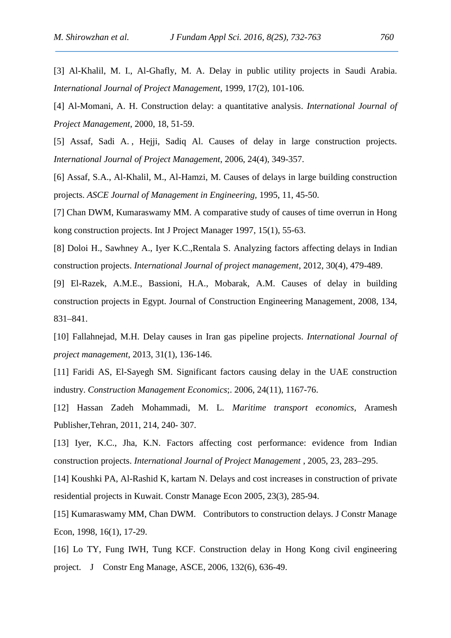[3] Al-Khalil, M. I., Al-Ghafly, M. A. Delay in public utility projects in Saudi Arabia. *International Journal of Project Management*, 1999, 17(2), 101-106.

[4] Al-Momani, A. H. Construction delay: a quantitative analysis. *International Journal of Project Management*, 2000, 18, 51-59.

[5] Assaf, Sadi A. , Hejji, Sadiq Al. Causes of delay in large construction projects. *International Journal of Project Management*, 2006, 24(4), 349-357.

[6] Assaf, S.A., Al-Khalil, M., Al-Hamzi, M. Causes of delays in large building construction projects. *ASCE Journal of Management in Engineering,* 1995, 11, 45-50.

[7] Chan DWM, Kumaraswamy MM. A comparative study of causes of time overrun in Hong kong construction projects. Int J Project Manager 1997, 15(1), 55-63.

[8] Doloi H., Sawhney A., Iyer K.C.,Rentala S. Analyzing factors affecting delays in Indian construction projects. *International Journal of project management*, 2012, 30(4), 479-489.

[9] El-Razek, A.M.E., Bassioni, H.A., Mobarak, A.M. Causes of delay in building construction projects in Egypt. Journal of Construction Engineering Management, 2008, 134, 831–841.

[10] Fallahnejad, M.H. Delay causes in Iran gas pipeline projects. *International Journal of project management*, 2013, 31(1), 136-146.

[11] Faridi AS, El-Sayegh SM. Significant factors causing delay in the UAE construction industry. *Construction Management Economics*;. 2006, 24(11), 1167-76.

[12] Hassan Zadeh Mohammadi, M. L. *Maritime transport economics*, Aramesh Publisher,Tehran, 2011, 214, 240- 307.

[13] Iyer, K.C., Jha, K.N. Factors affecting cost performance: evidence from Indian construction projects. *International Journal of Project Management* , 2005, 23, 283–295.

[14] Koushki PA, Al-Rashid K, kartam N. Delays and cost increases in construction of private residential projects in Kuwait. Constr Manage Econ 2005, 23(3), 285-94.

[15] Kumaraswamy MM, Chan DWM. Contributors to construction delays. J Constr Manage Econ, 1998, 16(1), 17-29.

[16] Lo TY, Fung IWH, Tung KCF. Construction delay in Hong Kong civil engineering project. J Constr Eng Manage, ASCE, 2006, 132(6), 636-49.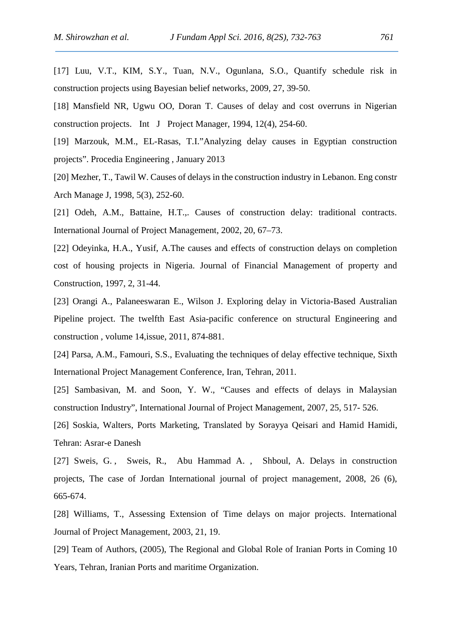[17] Luu, V.T., KIM, S.Y., Tuan, N.V., Ogunlana, S.O., Quantify schedule risk in construction projects using Bayesian belief networks, 2009, 27, 39-50.

[18] Mansfield NR, Ugwu OO, Doran T. Causes of delay and cost overruns in Nigerian construction projects. Int J Project Manager, 1994, 12(4), 254-60.

[19] Marzouk, M.M., EL-Rasas, T.I."Analyzing delay causes in Egyptian construction projects". Procedia Engineering , January 2013

[20] Mezher, T., Tawil W. Causes of delays in the construction industry in Lebanon. Eng constr Arch Manage J, 1998, 5(3), 252-60.

[21] Odeh, A.M., Battaine, H.T.,. Causes of construction delay: traditional contracts. International Journal of Project Management, 2002, 20, 67–73.

[22] Odeyinka, H.A., Yusif, A.The causes and effects of construction delays on completion cost of housing projects in Nigeria. Journal of Financial Management of property and Construction, 1997, 2, 31-44.

[23] Orangi A., Palaneeswaran E., Wilson J. Exploring delay in Victoria-Based Australian Pipeline project. The twelfth East Asia-pacific conference on structural Engineering and construction , volume 14,issue, 2011, 874-881.

[24] Parsa, A.M., Famouri, S.S., Evaluating the techniques of delay effective technique, Sixth International Project Management Conference, Iran, Tehran, 2011.

[25] Sambasivan, M. and Soon, Y. W., "Causes and effects of delays in Malaysian construction Industry", International Journal of Project Management, 2007, 25, 517- 526.

[26] Soskia, Walters, Ports Marketing, Translated by Sorayya Qeisari and Hamid Hamidi, Tehran: Asrar-e Danesh

[27] Sweis, G. , Sweis, R., Abu Hammad A. , Shboul, A. Delays in construction projects, The case of Jordan International journal of project management, 2008, 26 (6), 665-674.

[28] Williams, T., Assessing Extension of Time delays on major projects. International Journal of Project Management, 2003, 21, 19.

[29] Team of Authors, (2005), The Regional and Global Role of Iranian Ports in Coming 10 Years, Tehran, Iranian Ports and maritime Organization.